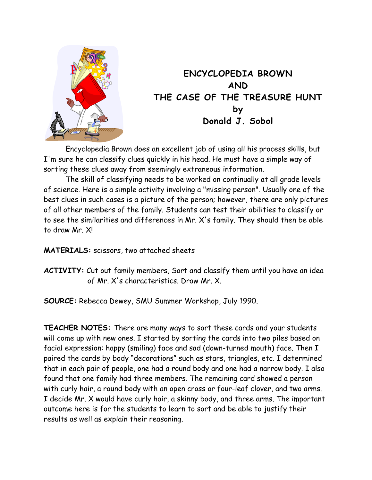

**ENCYCLOPEDIA BROWN AND THE CASE OF THE TREASURE HUNT by Donald J. Sobol** 

 Encyclopedia Brown does an excellent job of using all his process skills, but I'm sure he can classify clues quickly in his head. He must have a simple way of sorting these clues away from seemingly extraneous information.

The skill of classifying needs to be worked on continually at all grade levels of science. Here is a simple activity involving a "missing person". Usually one of the best clues in such cases is a picture of the person; however, there are only pictures of all other members of the family. Students can test their abilities to classify or to see the similarities and differences in Mr. X's family. They should then be able to draw Mr. X!

**MATERIALS:** scissors, two attached sheets

**ACTIVITY:** Cut out family members, Sort and classify them until you have an idea of Mr. X's characteristics. Draw Mr. X.

**SOURCE:** Rebecca Dewey, SMU Summer Workshop, July 1990.

**TEACHER NOTES:** There are many ways to sort these cards and your students will come up with new ones. I started by sorting the cards into two piles based on facial expression: happy (smiling) face and sad (down-turned mouth) face. Then I paired the cards by body "decorations" such as stars, triangles, etc. I determined that in each pair of people, one had a round body and one had a narrow body. I also found that one family had three members. The remaining card showed a person with curly hair, a round body with an open cross or four-leaf clover, and two arms. I decide Mr. X would have curly hair, a skinny body, and three arms. The important outcome here is for the students to learn to sort and be able to justify their results as well as explain their reasoning.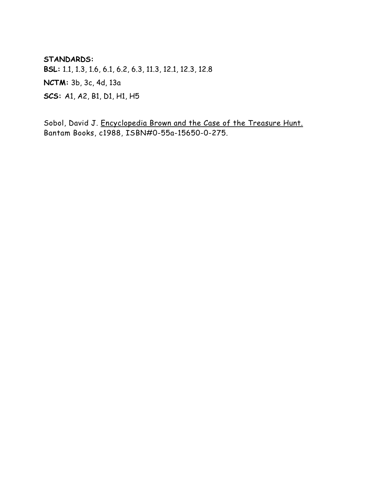## **STANDARDS:**

**BSL:** 1.1, 1.3, 1.6, 6.1, 6.2, 6.3, 11.3, 12.1, 12.3, 12.8 **NCTM:** 3b, 3c, 4d, 13a **SCS:** A1, A2, B1, D1, H1, H5

Sobol, David J. Encyclopedia Brown and the Case of the Treasure Hunt. Bantam Books, c1988, ISBN#0-55a-15650-0-275.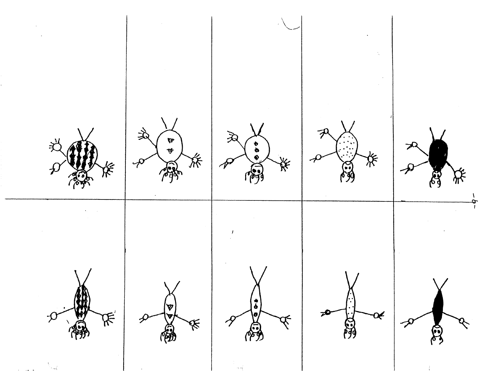